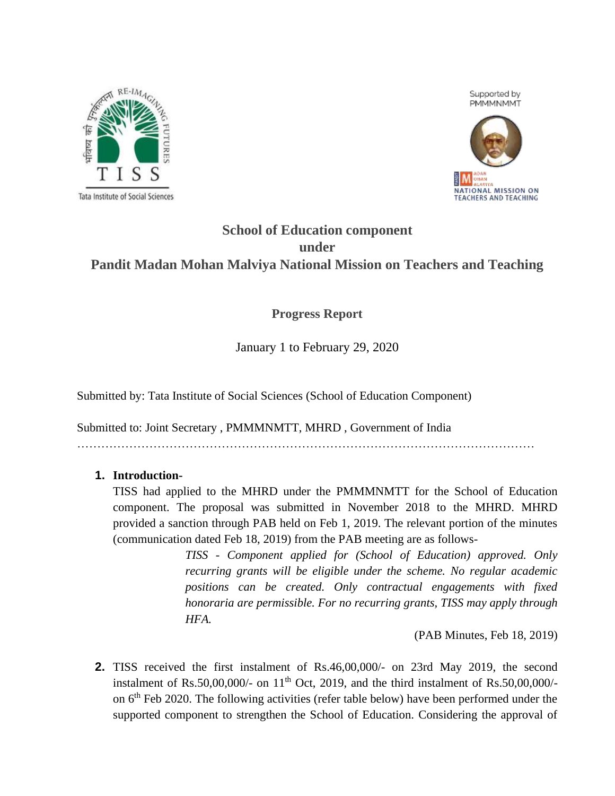



# **School of Education component under Pandit Madan Mohan Malviya National Mission on Teachers and Teaching**

# **Progress Report**

January 1 to February 29, 2020

Submitted by: Tata Institute of Social Sciences (School of Education Component)

Submitted to: Joint Secretary , PMMMNMTT, MHRD , Government of India

……………………………………………………………………………………………………

### **1. Introduction-**

TISS had applied to the MHRD under the PMMMNMTT for the School of Education component. The proposal was submitted in November 2018 to the MHRD. MHRD provided a sanction through PAB held on Feb 1, 2019. The relevant portion of the minutes (communication dated Feb 18, 2019) from the PAB meeting are as follows-

> *TISS - Component applied for (School of Education) approved. Only recurring grants will be eligible under the scheme. No regular academic positions can be created. Only contractual engagements with fixed honoraria are permissible. For no recurring grants, TISS may apply through HFA.*

> > (PAB Minutes, Feb 18, 2019)

**2.** TISS received the first instalment of Rs.46,00,000/- on 23rd May 2019, the second instalment of Rs.50,00,000/- on  $11<sup>th</sup>$  Oct, 2019, and the third instalment of Rs.50,00,000/on 6th Feb 2020. The following activities (refer table below) have been performed under the supported component to strengthen the School of Education. Considering the approval of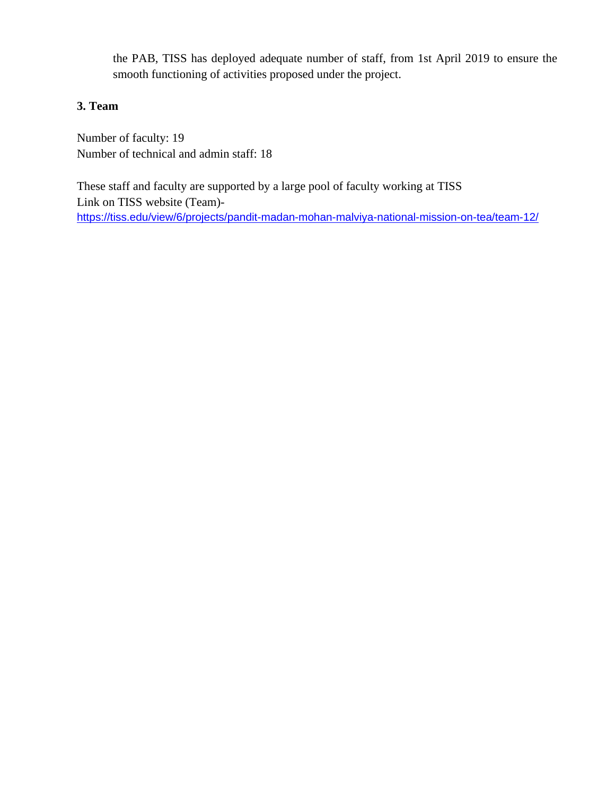the PAB, TISS has deployed adequate number of staff, from 1st April 2019 to ensure the smooth functioning of activities proposed under the project.

### **3. Team**

Number of faculty: 19 Number of technical and admin staff: 18

These staff and faculty are supported by a large pool of faculty working at TISS Link on TISS website (Team) <https://tiss.edu/view/6/projects/pandit-madan-mohan-malviya-national-mission-on-tea/team-12/>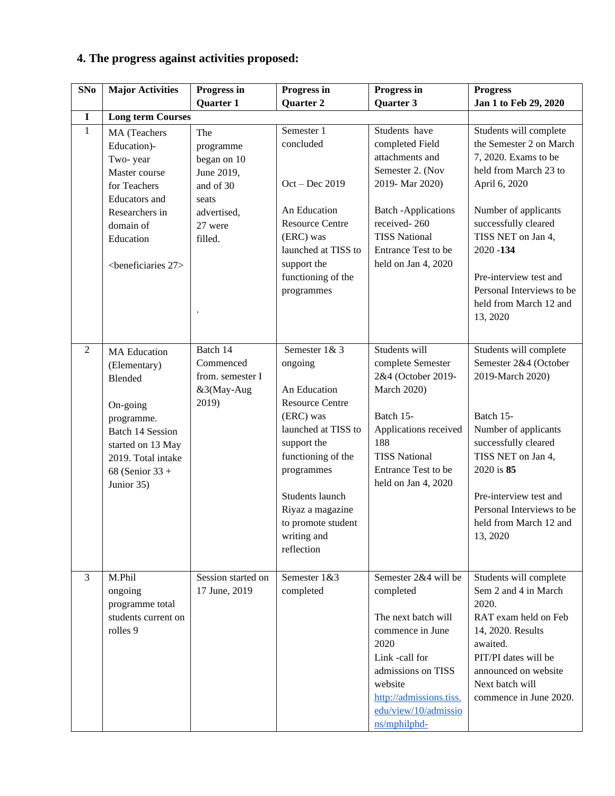# **4. The progress against activities proposed:**

| SNo            | <b>Major Activities</b>                                                                                                                                                        | Progress in                                                                                              | Progress in                                                                                                                                                                                                                                         | Progress in                                                                                                                                                                                                    | <b>Progress</b>                                                                                                                                                                                                                                                   |
|----------------|--------------------------------------------------------------------------------------------------------------------------------------------------------------------------------|----------------------------------------------------------------------------------------------------------|-----------------------------------------------------------------------------------------------------------------------------------------------------------------------------------------------------------------------------------------------------|----------------------------------------------------------------------------------------------------------------------------------------------------------------------------------------------------------------|-------------------------------------------------------------------------------------------------------------------------------------------------------------------------------------------------------------------------------------------------------------------|
|                |                                                                                                                                                                                | Quarter 1                                                                                                | Quarter 2                                                                                                                                                                                                                                           | Quarter 3                                                                                                                                                                                                      | Jan 1 to Feb 29, 2020                                                                                                                                                                                                                                             |
| $\mathbf I$    | <b>Long term Courses</b>                                                                                                                                                       |                                                                                                          |                                                                                                                                                                                                                                                     |                                                                                                                                                                                                                |                                                                                                                                                                                                                                                                   |
| $\mathbf{1}$   | MA (Teachers<br>Education)-<br>Two-year<br>Master course<br>for Teachers<br>Educators and<br>Researchers in<br>domain of<br>Education<br><beneficiaries 27=""></beneficiaries> | The<br>programme<br>began on 10<br>June 2019,<br>and of 30<br>seats<br>advertised,<br>27 were<br>filled. | Semester 1<br>concluded<br>$Oct - Dec 2019$<br>An Education<br><b>Resource Centre</b><br>(ERC) was<br>launched at TISS to<br>support the<br>functioning of the<br>programmes                                                                        | Students have<br>completed Field<br>attachments and<br>Semester 2. (Nov<br>2019-Mar 2020)<br><b>Batch</b> - Applications<br>received-260<br><b>TISS National</b><br>Entrance Test to be<br>held on Jan 4, 2020 | Students will complete<br>the Semester 2 on March<br>7, 2020. Exams to be<br>held from March 23 to<br>April 6, 2020<br>Number of applicants<br>successfully cleared<br>TISS NET on Jan 4,<br>$2020 - 134$<br>Pre-interview test and<br>Personal Interviews to be  |
|                |                                                                                                                                                                                |                                                                                                          |                                                                                                                                                                                                                                                     |                                                                                                                                                                                                                | held from March 12 and<br>13, 2020                                                                                                                                                                                                                                |
| 2              | <b>MA</b> Education<br>(Elementary)<br>Blended<br>On-going<br>programme.<br>Batch 14 Session<br>started on 13 May<br>2019. Total intake<br>68 (Senior $33 +$<br>Junior 35)     | Batch 14<br>Commenced<br>from. semester I<br>&3(May-Aug<br>2019)                                         | Semester 1& 3<br>ongoing<br>An Education<br><b>Resource Centre</b><br>(ERC) was<br>launched at TISS to<br>support the<br>functioning of the<br>programmes<br>Students launch<br>Riyaz a magazine<br>to promote student<br>writing and<br>reflection | Students will<br>complete Semester<br>2&4 (October 2019-<br><b>March 2020)</b><br>Batch 15-<br>Applications received<br>188<br><b>TISS National</b><br>Entrance Test to be<br>held on Jan 4, 2020              | Students will complete<br>Semester 2&4 (October<br>2019-March 2020)<br>Batch 15-<br>Number of applicants<br>successfully cleared<br>TISS NET on Jan 4,<br>2020 is 85<br>Pre-interview test and<br>Personal Interviews to be<br>held from March 12 and<br>13, 2020 |
| $\overline{3}$ | M.Phil<br>ongoing<br>programme total<br>students current on<br>rolles 9                                                                                                        | Session started on<br>17 June, 2019                                                                      | Semester 1&3<br>completed                                                                                                                                                                                                                           | Semester 2&4 will be<br>completed<br>The next batch will<br>commence in June<br>2020<br>Link -call for<br>admissions on TISS<br>website<br>http://admissions.tiss.<br>edu/view/10/admissio<br>ns/mphilphd-     | Students will complete<br>Sem 2 and 4 in March<br>2020.<br>RAT exam held on Feb<br>14, 2020. Results<br>awaited.<br>PIT/PI dates will be<br>announced on website<br>Next batch will<br>commence in June 2020.                                                     |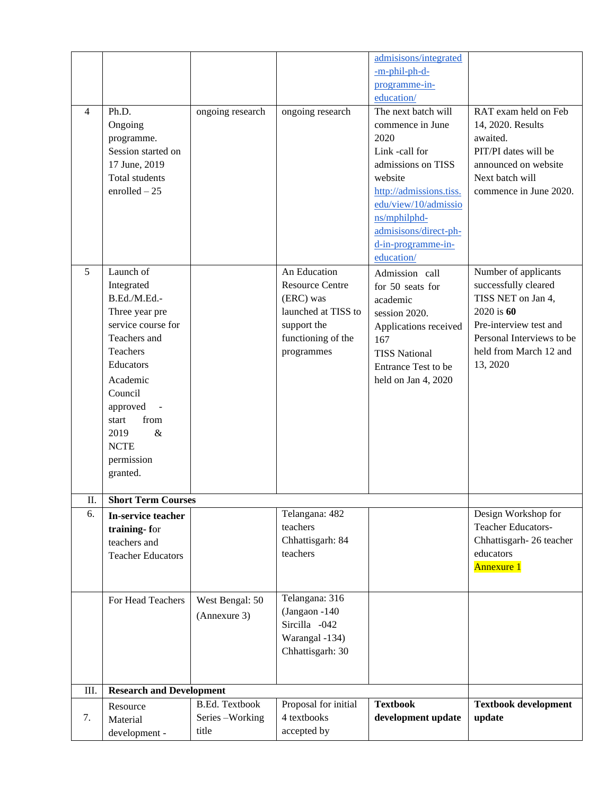|                |                                 |                       |                        | admisisons/integrated   |                             |
|----------------|---------------------------------|-----------------------|------------------------|-------------------------|-----------------------------|
|                |                                 |                       |                        | -m-phil-ph-d-           |                             |
|                |                                 |                       |                        | programme-in-           |                             |
|                |                                 |                       |                        | education/              |                             |
| $\overline{4}$ | Ph.D.                           | ongoing research      | ongoing research       | The next batch will     | RAT exam held on Feb        |
|                | Ongoing                         |                       |                        | commence in June        | 14, 2020. Results           |
|                | programme.                      |                       |                        | 2020                    | awaited.                    |
|                | Session started on              |                       |                        | Link -call for          | PIT/PI dates will be        |
|                | 17 June, 2019                   |                       |                        | admissions on TISS      | announced on website        |
|                | Total students                  |                       |                        | website                 | Next batch will             |
|                | $enrolled-25$                   |                       |                        | http://admissions.tiss. | commence in June 2020.      |
|                |                                 |                       |                        | edu/view/10/admissio    |                             |
|                |                                 |                       |                        | ns/mphilphd-            |                             |
|                |                                 |                       |                        | admisisons/direct-ph-   |                             |
|                |                                 |                       |                        | d-in-programme-in-      |                             |
|                |                                 |                       |                        | education/              |                             |
| 5              | Launch of                       |                       | An Education           | Admission call          | Number of applicants        |
|                | Integrated                      |                       | <b>Resource Centre</b> | for 50 seats for        | successfully cleared        |
|                | B.Ed./M.Ed.-                    |                       | (ERC) was              | academic                | TISS NET on Jan 4,          |
|                | Three year pre                  |                       | launched at TISS to    | session 2020.           | 2020 is 60                  |
|                | service course for              |                       | support the            | Applications received   | Pre-interview test and      |
|                | Teachers and                    |                       | functioning of the     | 167                     | Personal Interviews to be   |
|                | Teachers                        |                       | programmes             | <b>TISS National</b>    | held from March 12 and      |
|                | Educators                       |                       |                        | Entrance Test to be     | 13, 2020                    |
|                | Academic                        |                       |                        | held on Jan 4, 2020     |                             |
|                | Council                         |                       |                        |                         |                             |
|                | approved                        |                       |                        |                         |                             |
|                | from<br>start                   |                       |                        |                         |                             |
|                | $\&$<br>2019                    |                       |                        |                         |                             |
|                | <b>NCTE</b>                     |                       |                        |                         |                             |
|                | permission                      |                       |                        |                         |                             |
|                | granted.                        |                       |                        |                         |                             |
|                |                                 |                       |                        |                         |                             |
| П.<br>6.       | <b>Short Term Courses</b>       |                       | Telangana: 482         |                         | Design Workshop for         |
|                | In-service teacher              |                       | teachers               |                         | <b>Teacher Educators-</b>   |
|                | training-for                    |                       | Chhattisgarh: 84       |                         | Chhattisgarh-26 teacher     |
|                | teachers and                    |                       | teachers               |                         | educators                   |
|                | <b>Teacher Educators</b>        |                       |                        |                         | <b>Annexure 1</b>           |
|                |                                 |                       |                        |                         |                             |
|                | For Head Teachers               | West Bengal: 50       | Telangana: 316         |                         |                             |
|                |                                 |                       | (Jangaon -140          |                         |                             |
|                |                                 | (Annexure 3)          | Sircilla -042          |                         |                             |
|                |                                 |                       | Warangal -134)         |                         |                             |
|                |                                 |                       | Chhattisgarh: 30       |                         |                             |
|                |                                 |                       |                        |                         |                             |
|                |                                 |                       |                        |                         |                             |
| III.           | <b>Research and Development</b> |                       |                        |                         |                             |
|                | Resource                        | <b>B.Ed. Textbook</b> | Proposal for initial   | <b>Textbook</b>         | <b>Textbook development</b> |
| 7.             | Material                        | Series-Working        | 4 textbooks            | development update      | update                      |
|                | development -                   | title                 | accepted by            |                         |                             |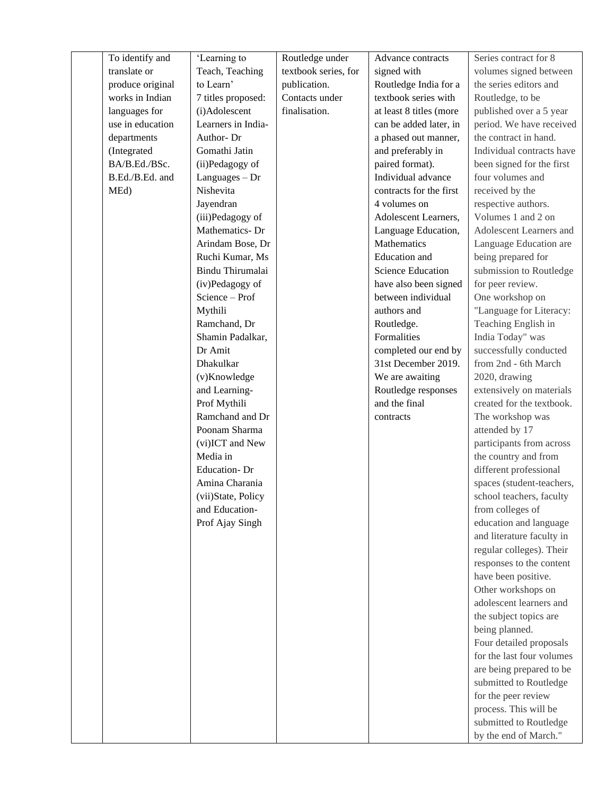| To identify and  | 'Learning to        | Routledge under      | Advance contracts        | Series contract for 8     |
|------------------|---------------------|----------------------|--------------------------|---------------------------|
| translate or     | Teach, Teaching     | textbook series, for | signed with              | volumes signed between    |
| produce original | to Learn'           | publication.         | Routledge India for a    | the series editors and    |
| works in Indian  | 7 titles proposed:  | Contacts under       | textbook series with     | Routledge, to be          |
| languages for    | (i)Adolescent       | finalisation.        | at least 8 titles (more  | published over a 5 year   |
| use in education | Learners in India-  |                      | can be added later, in   | period. We have received  |
| departments      | Author-Dr           |                      | a phased out manner,     | the contract in hand.     |
| (Integrated      | Gomathi Jatin       |                      | and preferably in        | Individual contracts have |
| BA/B.Ed./BSc.    | (ii)Pedagogy of     |                      | paired format).          | been signed for the first |
| B.Ed./B.Ed. and  | $Languages - Dr$    |                      | Individual advance       | four volumes and          |
| MEd)             | Nishevita           |                      | contracts for the first  | received by the           |
|                  | Jayendran           |                      | 4 volumes on             | respective authors.       |
|                  | (iii)Pedagogy of    |                      | Adolescent Learners,     | Volumes 1 and 2 on        |
|                  | Mathematics-Dr      |                      | Language Education,      | Adolescent Learners and   |
|                  | Arindam Bose, Dr    |                      | Mathematics              | Language Education are    |
|                  | Ruchi Kumar, Ms     |                      | <b>Education</b> and     | being prepared for        |
|                  | Bindu Thirumalai    |                      | <b>Science Education</b> | submission to Routledge   |
|                  | (iv)Pedagogy of     |                      | have also been signed    | for peer review.          |
|                  | Science - Prof      |                      | between individual       | One workshop on           |
|                  | Mythili             |                      | authors and              | "Language for Literacy:   |
|                  | Ramchand, Dr        |                      | Routledge.               | Teaching English in       |
|                  | Shamin Padalkar,    |                      | Formalities              | India Today" was          |
|                  | Dr Amit             |                      | completed our end by     | successfully conducted    |
|                  | Dhakulkar           |                      | 31st December 2019.      | from 2nd - 6th March      |
|                  | (v)Knowledge        |                      | We are awaiting          | 2020, drawing             |
|                  | and Learning-       |                      | Routledge responses      | extensively on materials  |
|                  | Prof Mythili        |                      | and the final            | created for the textbook. |
|                  | Ramchand and Dr     |                      | contracts                | The workshop was          |
|                  | Poonam Sharma       |                      |                          | attended by 17            |
|                  | (vi)ICT and New     |                      |                          | participants from across  |
|                  | Media in            |                      |                          | the country and from      |
|                  | <b>Education-Dr</b> |                      |                          | different professional    |
|                  | Amina Charania      |                      |                          | spaces (student-teachers, |
|                  | (vii)State, Policy  |                      |                          | school teachers, faculty  |
|                  | and Education-      |                      |                          | from colleges of          |
|                  | Prof Ajay Singh     |                      |                          | education and language    |
|                  |                     |                      |                          | and literature faculty in |
|                  |                     |                      |                          | regular colleges). Their  |
|                  |                     |                      |                          | responses to the content  |
|                  |                     |                      |                          | have been positive.       |
|                  |                     |                      |                          | Other workshops on        |
|                  |                     |                      |                          | adolescent learners and   |
|                  |                     |                      |                          | the subject topics are    |
|                  |                     |                      |                          | being planned.            |
|                  |                     |                      |                          | Four detailed proposals   |
|                  |                     |                      |                          | for the last four volumes |
|                  |                     |                      |                          | are being prepared to be  |
|                  |                     |                      |                          | submitted to Routledge    |
|                  |                     |                      |                          | for the peer review       |
|                  |                     |                      |                          | process. This will be     |
|                  |                     |                      |                          | submitted to Routledge    |
|                  |                     |                      |                          | by the end of March."     |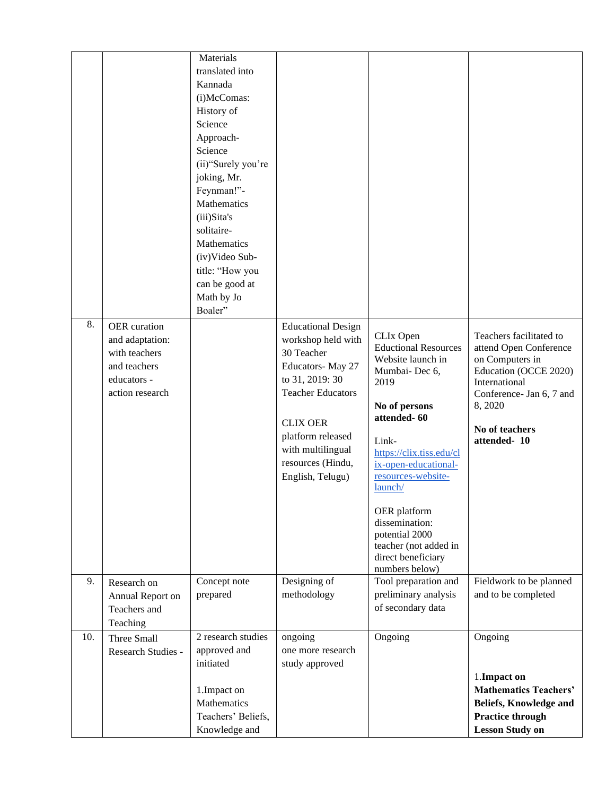| 8.  | OER curation                                                                       | Materials<br>translated into<br>Kannada<br>(i)McComas:<br>History of<br>Science<br>Approach-<br>Science<br>(ii)"Surely you're<br>joking, Mr.<br>Feynman!"-<br>Mathematics<br>(iii)Sita's<br>solitaire-<br>Mathematics<br>(iv)Video Sub-<br>title: "How you<br>can be good at<br>Math by Jo<br>Boaler" | <b>Educational Design</b>                                                                                                                                                                                 |                                                                                                                                                                                                                                                                                                                                           |                                                                                                                                                                                       |
|-----|------------------------------------------------------------------------------------|-------------------------------------------------------------------------------------------------------------------------------------------------------------------------------------------------------------------------------------------------------------------------------------------------------|-----------------------------------------------------------------------------------------------------------------------------------------------------------------------------------------------------------|-------------------------------------------------------------------------------------------------------------------------------------------------------------------------------------------------------------------------------------------------------------------------------------------------------------------------------------------|---------------------------------------------------------------------------------------------------------------------------------------------------------------------------------------|
|     | and adaptation:<br>with teachers<br>and teachers<br>educators -<br>action research |                                                                                                                                                                                                                                                                                                       | workshop held with<br>30 Teacher<br>Educators-May 27<br>to 31, 2019: 30<br><b>Teacher Educators</b><br><b>CLIX OER</b><br>platform released<br>with multilingual<br>resources (Hindu,<br>English, Telugu) | CLIx Open<br><b>Eductional Resources</b><br>Website launch in<br>Mumbai-Dec 6,<br>2019<br>No of persons<br>attended-60<br>Link-<br>https://clix.tiss.edu/cl<br>ix-open-educational-<br>resources-website-<br>launch/<br>OER platform<br>dissemination:<br>potential 2000<br>teacher (not added in<br>direct beneficiary<br>numbers below) | Teachers facilitated to<br>attend Open Conference<br>on Computers in<br>Education (OCCE 2020)<br>International<br>Conference- Jan 6, 7 and<br>8,2020<br>No of teachers<br>attended-10 |
| 9.  | Research on<br>Annual Report on<br>Teachers and<br>Teaching                        | Concept note<br>prepared                                                                                                                                                                                                                                                                              | Designing of<br>methodology                                                                                                                                                                               | Tool preparation and<br>preliminary analysis<br>of secondary data                                                                                                                                                                                                                                                                         | Fieldwork to be planned<br>and to be completed                                                                                                                                        |
| 10. | Three Small<br>Research Studies -                                                  | 2 research studies<br>approved and<br>initiated<br>1. Impact on<br>Mathematics<br>Teachers' Beliefs,<br>Knowledge and                                                                                                                                                                                 | ongoing<br>one more research<br>study approved                                                                                                                                                            | Ongoing                                                                                                                                                                                                                                                                                                                                   | Ongoing<br>1. Impact on<br><b>Mathematics Teachers'</b><br>Beliefs, Knowledge and<br><b>Practice through</b><br><b>Lesson Study on</b>                                                |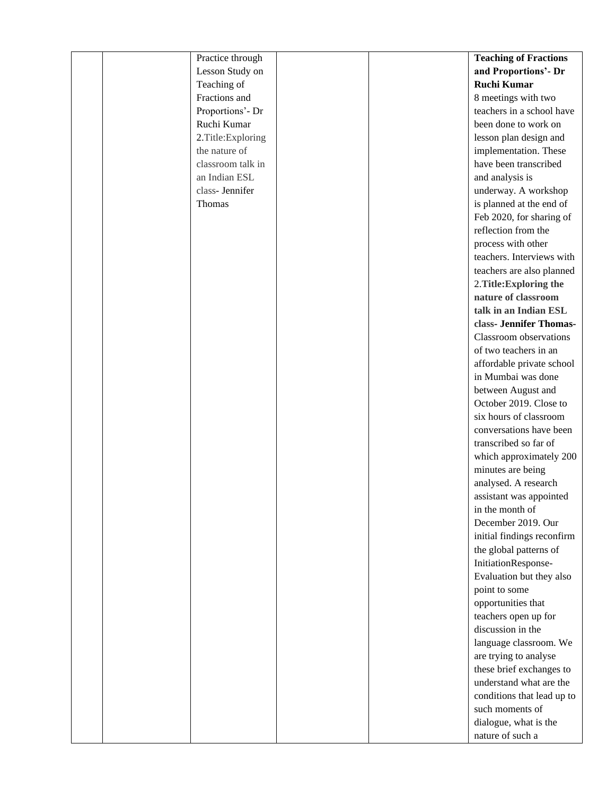| Practice through  | <b>Teaching of Fractions</b> |
|-------------------|------------------------------|
| Lesson Study on   | and Proportions'- Dr         |
| Teaching of       | <b>Ruchi Kumar</b>           |
| Fractions and     | 8 meetings with two          |
| Proportions'- Dr  | teachers in a school have    |
| Ruchi Kumar       | been done to work on         |
| 2.Title:Exploring | lesson plan design and       |
| the nature of     | implementation. These        |
| classroom talk in | have been transcribed        |
| an Indian ESL     | and analysis is              |
| class- Jennifer   | underway. A workshop         |
| Thomas            | is planned at the end of     |
|                   | Feb 2020, for sharing of     |
|                   | reflection from the          |
|                   | process with other           |
|                   | teachers. Interviews with    |
|                   | teachers are also planned    |
|                   | 2. Title: Exploring the      |
|                   | nature of classroom          |
|                   | talk in an Indian ESL        |
|                   | class- Jennifer Thomas-      |
|                   | Classroom observations       |
|                   | of two teachers in an        |
|                   | affordable private school    |
|                   | in Mumbai was done           |
|                   | between August and           |
|                   | October 2019. Close to       |
|                   | six hours of classroom       |
|                   | conversations have been      |
|                   | transcribed so far of        |
|                   | which approximately 200      |
|                   | minutes are being            |
|                   | analysed. A research         |
|                   | assistant was appointed      |
|                   | in the month of              |
|                   | December 2019. Our           |
|                   | initial findings reconfirm   |
|                   | the global patterns of       |
|                   | InitiationResponse-          |
|                   | Evaluation but they also     |
|                   | point to some                |
|                   | opportunities that           |
|                   | teachers open up for         |
|                   | discussion in the            |
|                   | language classroom. We       |
|                   | are trying to analyse        |
|                   | these brief exchanges to     |
|                   | understand what are the      |
|                   | conditions that lead up to   |
|                   | such moments of              |
|                   | dialogue, what is the        |
|                   | nature of such a             |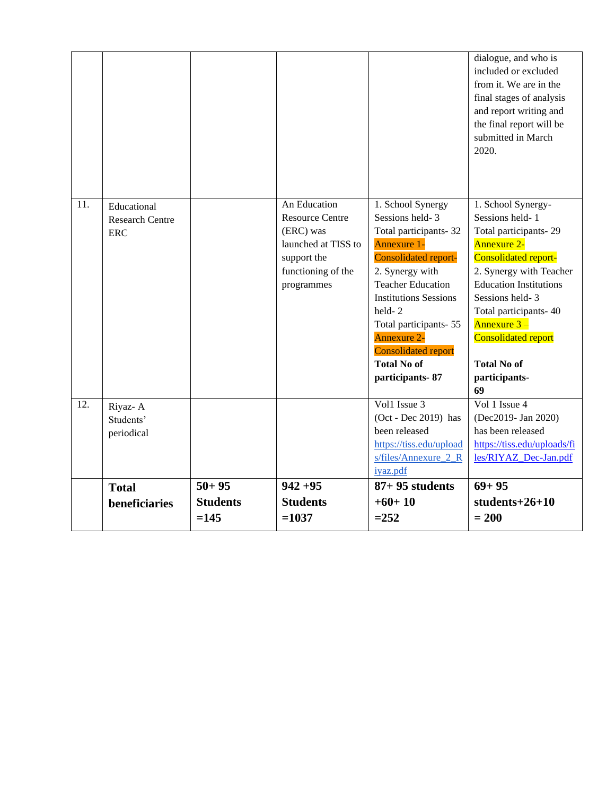|     |                                                     |                                        |                                                                                                                               |                                                                                                                                                                                                                                                                                                                            | dialogue, and who is<br>included or excluded<br>from it. We are in the<br>final stages of analysis<br>and report writing and<br>the final report will be<br>submitted in March<br>2020.                                                                                                                        |
|-----|-----------------------------------------------------|----------------------------------------|-------------------------------------------------------------------------------------------------------------------------------|----------------------------------------------------------------------------------------------------------------------------------------------------------------------------------------------------------------------------------------------------------------------------------------------------------------------------|----------------------------------------------------------------------------------------------------------------------------------------------------------------------------------------------------------------------------------------------------------------------------------------------------------------|
| 11. | Educational<br><b>Research Centre</b><br><b>ERC</b> |                                        | An Education<br><b>Resource Centre</b><br>(ERC) was<br>launched at TISS to<br>support the<br>functioning of the<br>programmes | 1. School Synergy<br>Sessions held-3<br>Total participants-32<br>Annexure 1-<br><b>Consolidated report-</b><br>2. Synergy with<br><b>Teacher Education</b><br><b>Institutions Sessions</b><br>held-2<br>Total participants-55<br><b>Annexure 2-</b><br><b>Consolidated report</b><br><b>Total No of</b><br>participants-87 | 1. School Synergy-<br>Sessions held-1<br>Total participants-29<br><b>Annexure 2-</b><br>Consolidated report-<br>2. Synergy with Teacher<br><b>Education Institutions</b><br>Sessions held-3<br>Total participants-40<br>Annexure 3-<br><b>Consolidated report</b><br><b>Total No of</b><br>participants-<br>69 |
| 12. | Riyaz-A<br>Students'<br>periodical                  |                                        |                                                                                                                               | Vol1 Issue 3<br>(Oct - Dec 2019) has<br>been released<br>https://tiss.edu/upload<br>$s/files/Annexure$ 2 R<br>iyaz.pdf                                                                                                                                                                                                     | Vol 1 Issue 4<br>(Dec2019- Jan 2020)<br>has been released<br>https://tiss.edu/uploads/fi<br>les/RIYAZ Dec-Jan.pdf                                                                                                                                                                                              |
|     | <b>Total</b><br>beneficiaries                       | $50 + 95$<br><b>Students</b><br>$=145$ | $942 + 95$<br><b>Students</b><br>$=1037$                                                                                      | $87+95$ students<br>$+60+10$<br>$=252$                                                                                                                                                                                                                                                                                     | $69 + 95$<br>students $+26+10$<br>$= 200$                                                                                                                                                                                                                                                                      |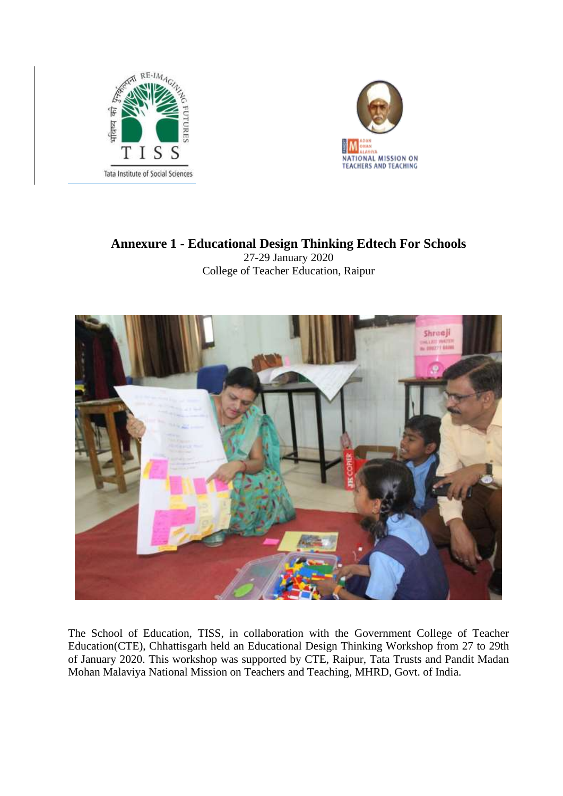



# **Annexure 1 - Educational Design Thinking Edtech For Schools** 27-29 January 2020

College of Teacher Education, Raipur



The School of Education, TISS, in collaboration with the Government College of Teacher Education(CTE), Chhattisgarh held an Educational Design Thinking Workshop from 27 to 29th of January 2020. This workshop was supported by CTE, Raipur, Tata Trusts and Pandit Madan Mohan Malaviya National Mission on Teachers and Teaching, MHRD, Govt. of India.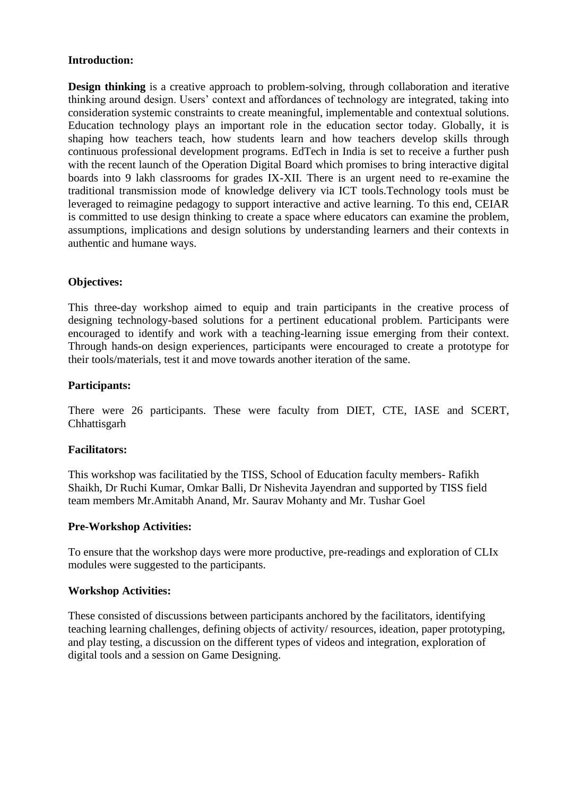### **Introduction:**

**Design thinking** is a creative approach to problem-solving, through collaboration and iterative thinking around design. Users' context and affordances of technology are integrated, taking into consideration systemic constraints to create meaningful, implementable and contextual solutions. Education technology plays an important role in the education sector today. Globally, it is shaping how teachers teach, how students learn and how teachers develop skills through continuous professional development programs. EdTech in India is set to receive a further push with the recent launch of the Operation Digital Board which promises to bring interactive digital boards into 9 lakh classrooms for grades IX-XII. There is an urgent need to re-examine the traditional transmission mode of knowledge delivery via ICT tools.Technology tools must be leveraged to reimagine pedagogy to support interactive and active learning. To this end, CEIAR is committed to use design thinking to create a space where educators can examine the problem, assumptions, implications and design solutions by understanding learners and their contexts in authentic and humane ways.

### **Objectives:**

This three-day workshop aimed to equip and train participants in the creative process of designing technology-based solutions for a pertinent educational problem. Participants were encouraged to identify and work with a teaching-learning issue emerging from their context. Through hands-on design experiences, participants were encouraged to create a prototype for their tools/materials, test it and move towards another iteration of the same.

### **Participants:**

There were 26 participants. These were faculty from DIET, CTE, IASE and SCERT, Chhattisgarh

#### **Facilitators:**

This workshop was facilitatied by the TISS, School of Education faculty members- Rafikh Shaikh, Dr Ruchi Kumar, Omkar Balli, Dr Nishevita Jayendran and supported by TISS field team members Mr.Amitabh Anand, Mr. Saurav Mohanty and Mr. Tushar Goel

#### **Pre-Workshop Activities:**

To ensure that the workshop days were more productive, pre-readings and exploration of CLIx modules were suggested to the participants.

#### **Workshop Activities:**

These consisted of discussions between participants anchored by the facilitators, identifying teaching learning challenges, defining objects of activity/ resources, ideation, paper prototyping, and play testing, a discussion on the different types of videos and integration, exploration of digital tools and a session on Game Designing.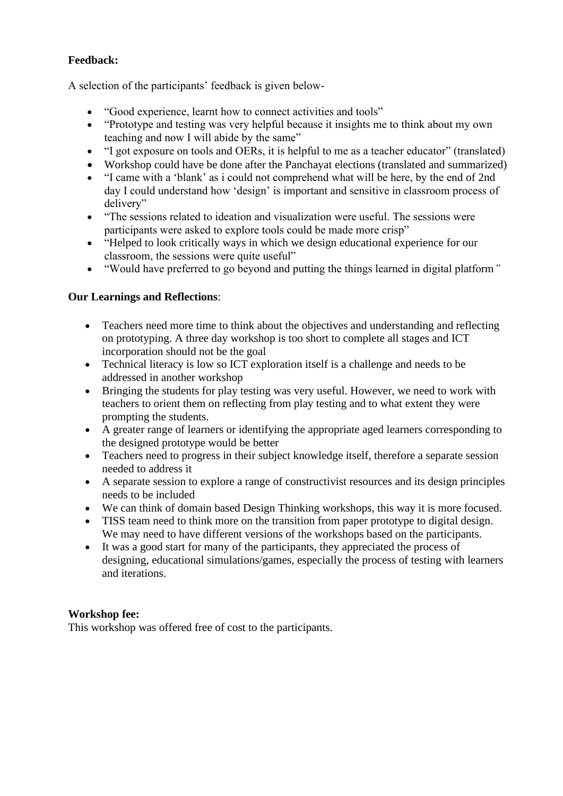### **Feedback:**

A selection of the participants' feedback is given below-

- "Good experience, learnt how to connect activities and tools"
- "Prototype and testing was very helpful because it insights me to think about my own teaching and now I will abide by the same"
- "I got exposure on tools and OERs, it is helpful to me as a teacher educator" (translated)
- Workshop could have be done after the Panchayat elections (translated and summarized)
- "I came with a 'blank' as i could not comprehend what will be here, by the end of 2nd day I could understand how 'design' is important and sensitive in classroom process of delivery"
- "The sessions related to ideation and visualization were useful. The sessions were participants were asked to explore tools could be made more crisp"
- "Helped to look critically ways in which we design educational experience for our classroom, the sessions were quite useful"
- "Would have preferred to go beyond and putting the things learned in digital platform*"*

### **Our Learnings and Reflections**:

- Teachers need more time to think about the objectives and understanding and reflecting on prototyping. A three day workshop is too short to complete all stages and ICT incorporation should not be the goal
- Technical literacy is low so ICT exploration itself is a challenge and needs to be addressed in another workshop
- Bringing the students for play testing was very useful. However, we need to work with teachers to orient them on reflecting from play testing and to what extent they were prompting the students.
- A greater range of learners or identifying the appropriate aged learners corresponding to the designed prototype would be better
- Teachers need to progress in their subject knowledge itself, therefore a separate session needed to address it
- A separate session to explore a range of constructivist resources and its design principles needs to be included
- We can think of domain based Design Thinking workshops, this way it is more focused.
- TISS team need to think more on the transition from paper prototype to digital design. We may need to have different versions of the workshops based on the participants.
- It was a good start for many of the participants, they appreciated the process of designing, educational simulations/games, especially the process of testing with learners and iterations.

### **Workshop fee:**

This workshop was offered free of cost to the participants.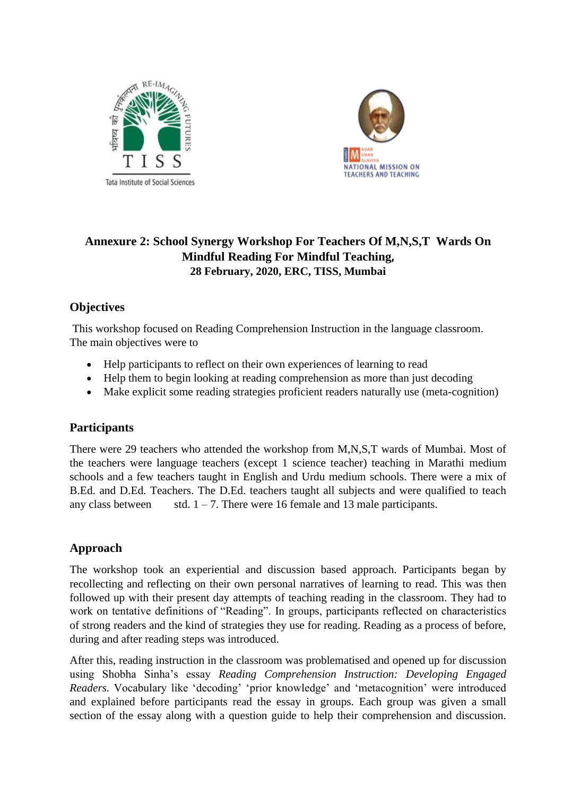



# **Annexure 2: School Synergy Workshop For Teachers Of M,N,S,T Wards On Mindful Reading For Mindful Teaching, 28 February, 2020, ERC, TISS, Mumbai**

# **Objectives**

This workshop focused on Reading Comprehension Instruction in the language classroom. The main objectives were to

- Help participants to reflect on their own experiences of learning to read
- Help them to begin looking at reading comprehension as more than just decoding
- Make explicit some reading strategies proficient readers naturally use (meta-cognition)

### **Participants**

There were 29 teachers who attended the workshop from M,N,S,T wards of Mumbai. Most of the teachers were language teachers (except 1 science teacher) teaching in Marathi medium schools and a few teachers taught in English and Urdu medium schools. There were a mix of B.Ed. and D.Ed. Teachers. The D.Ed. teachers taught all subjects and were qualified to teach any class between std.  $1 - 7$ . There were 16 female and 13 male participants.

### **Approach**

The workshop took an experiential and discussion based approach. Participants began by recollecting and reflecting on their own personal narratives of learning to read. This was then followed up with their present day attempts of teaching reading in the classroom. They had to work on tentative definitions of "Reading". In groups, participants reflected on characteristics of strong readers and the kind of strategies they use for reading. Reading as a process of before, during and after reading steps was introduced.

After this, reading instruction in the classroom was problematised and opened up for discussion using Shobha Sinha's essay *Reading Comprehension Instruction: Developing Engaged Readers.* Vocabulary like 'decoding' 'prior knowledge' and 'metacognition' were introduced and explained before participants read the essay in groups. Each group was given a small section of the essay along with a question guide to help their comprehension and discussion.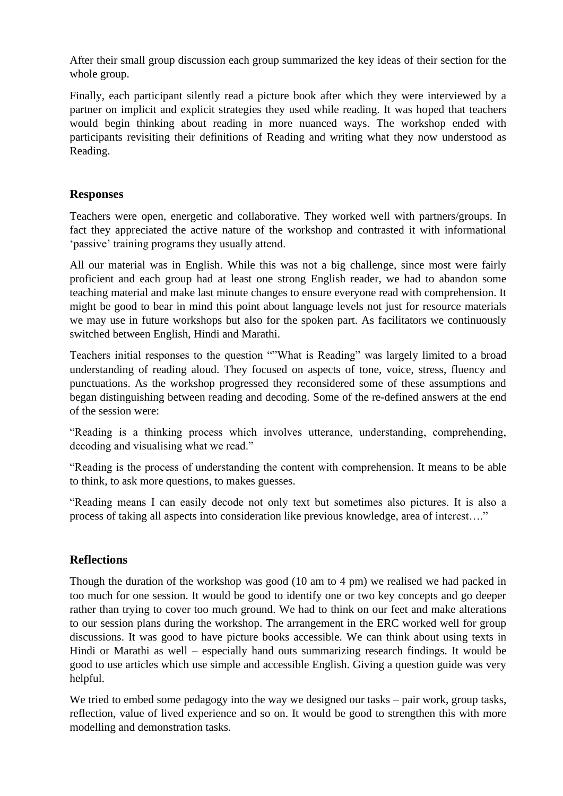After their small group discussion each group summarized the key ideas of their section for the whole group.

Finally, each participant silently read a picture book after which they were interviewed by a partner on implicit and explicit strategies they used while reading. It was hoped that teachers would begin thinking about reading in more nuanced ways. The workshop ended with participants revisiting their definitions of Reading and writing what they now understood as Reading.

### **Responses**

Teachers were open, energetic and collaborative. They worked well with partners/groups. In fact they appreciated the active nature of the workshop and contrasted it with informational 'passive' training programs they usually attend.

All our material was in English. While this was not a big challenge, since most were fairly proficient and each group had at least one strong English reader, we had to abandon some teaching material and make last minute changes to ensure everyone read with comprehension. It might be good to bear in mind this point about language levels not just for resource materials we may use in future workshops but also for the spoken part. As facilitators we continuously switched between English, Hindi and Marathi.

Teachers initial responses to the question ""What is Reading" was largely limited to a broad understanding of reading aloud. They focused on aspects of tone, voice, stress, fluency and punctuations. As the workshop progressed they reconsidered some of these assumptions and began distinguishing between reading and decoding. Some of the re-defined answers at the end of the session were:

"Reading is a thinking process which involves utterance, understanding, comprehending, decoding and visualising what we read."

"Reading is the process of understanding the content with comprehension. It means to be able to think, to ask more questions, to makes guesses.

"Reading means I can easily decode not only text but sometimes also pictures. It is also a process of taking all aspects into consideration like previous knowledge, area of interest…."

### **Reflections**

Though the duration of the workshop was good (10 am to 4 pm) we realised we had packed in too much for one session. It would be good to identify one or two key concepts and go deeper rather than trying to cover too much ground. We had to think on our feet and make alterations to our session plans during the workshop. The arrangement in the ERC worked well for group discussions. It was good to have picture books accessible. We can think about using texts in Hindi or Marathi as well – especially hand outs summarizing research findings. It would be good to use articles which use simple and accessible English. Giving a question guide was very helpful.

We tried to embed some pedagogy into the way we designed our tasks – pair work, group tasks, reflection, value of lived experience and so on. It would be good to strengthen this with more modelling and demonstration tasks.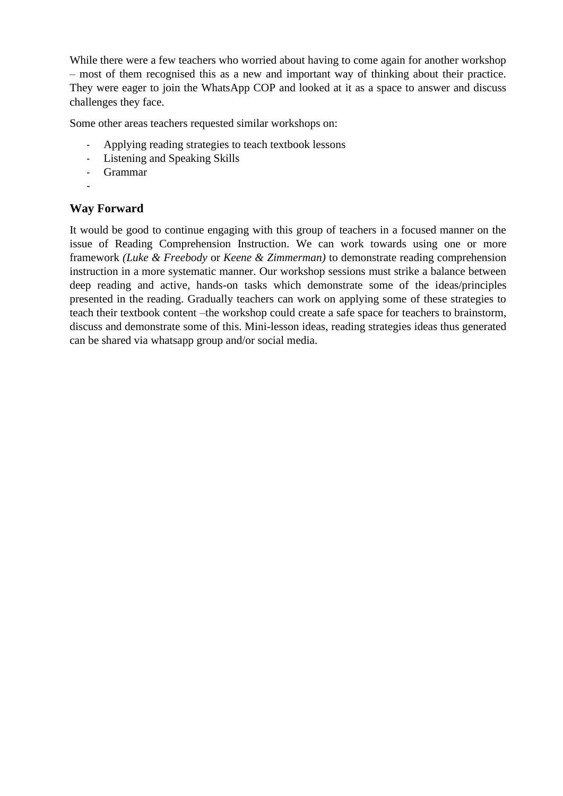While there were a few teachers who worried about having to come again for another workshop – most of them recognised this as a new and important way of thinking about their practice. They were eager to join the WhatsApp COP and looked at it as a space to answer and discuss challenges they face.

Some other areas teachers requested similar workshops on:

- Applying reading strategies to teach textbook lessons
- Listening and Speaking Skills
- Grammar
- -

### **Way Forward**

It would be good to continue engaging with this group of teachers in a focused manner on the issue of Reading Comprehension Instruction. We can work towards using one or more framework *(Luke & Freebody* or *Keene & Zimmerman)* to demonstrate reading comprehension instruction in a more systematic manner. Our workshop sessions must strike a balance between deep reading and active, hands-on tasks which demonstrate some of the ideas/principles presented in the reading. Gradually teachers can work on applying some of these strategies to teach their textbook content –the workshop could create a safe space for teachers to brainstorm, discuss and demonstrate some of this. Mini-lesson ideas, reading strategies ideas thus generated can be shared via whatsapp group and/or social media.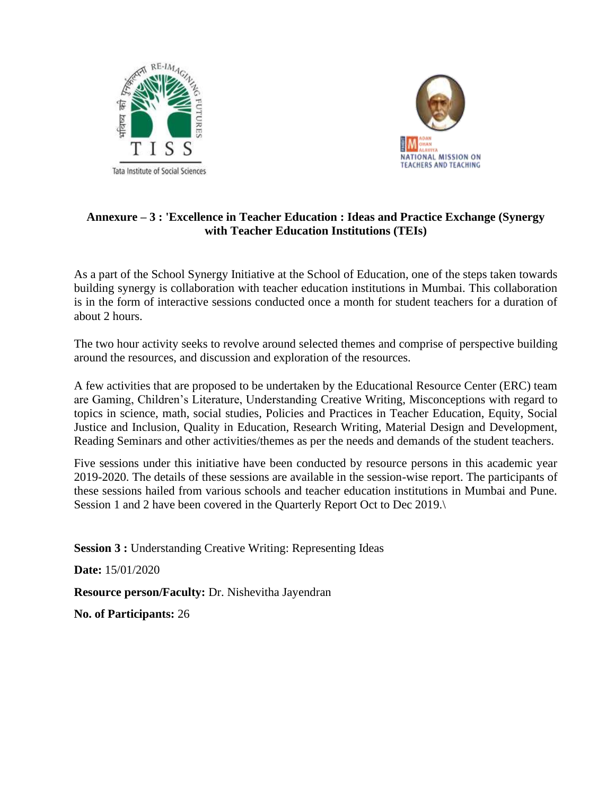



### **Annexure – 3 : 'Excellence in Teacher Education : Ideas and Practice Exchange (Synergy with Teacher Education Institutions (TEIs)**

As a part of the School Synergy Initiative at the School of Education, one of the steps taken towards building synergy is collaboration with teacher education institutions in Mumbai. This collaboration is in the form of interactive sessions conducted once a month for student teachers for a duration of about 2 hours.

The two hour activity seeks to revolve around selected themes and comprise of perspective building around the resources, and discussion and exploration of the resources.

A few activities that are proposed to be undertaken by the Educational Resource Center (ERC) team are Gaming, Children's Literature, Understanding Creative Writing, Misconceptions with regard to topics in science, math, social studies, Policies and Practices in Teacher Education, Equity, Social Justice and Inclusion, Quality in Education, Research Writing, Material Design and Development, Reading Seminars and other activities/themes as per the needs and demands of the student teachers.

Five sessions under this initiative have been conducted by resource persons in this academic year 2019-2020. The details of these sessions are available in the session-wise report. The participants of these sessions hailed from various schools and teacher education institutions in Mumbai and Pune. Session 1 and 2 have been covered in the Quarterly Report Oct to Dec 2019.\

**Session 3 : Understanding Creative Writing: Representing Ideas** 

**Date:** 15/01/2020

**Resource person/Faculty:** Dr. Nishevitha Jayendran

**No. of Participants:** 26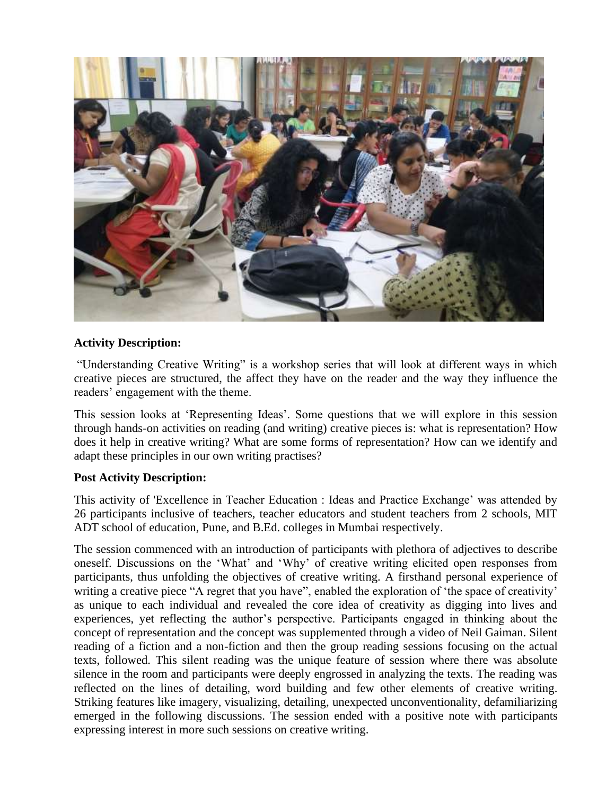

### **Activity Description:**

"Understanding Creative Writing" is a workshop series that will look at different ways in which creative pieces are structured, the affect they have on the reader and the way they influence the readers' engagement with the theme.

This session looks at 'Representing Ideas'. Some questions that we will explore in this session through hands-on activities on reading (and writing) creative pieces is: what is representation? How does it help in creative writing? What are some forms of representation? How can we identify and adapt these principles in our own writing practises?

### **Post Activity Description:**

This activity of 'Excellence in Teacher Education : Ideas and Practice Exchange' was attended by 26 participants inclusive of teachers, teacher educators and student teachers from 2 schools, MIT ADT school of education, Pune, and B.Ed. colleges in Mumbai respectively.

The session commenced with an introduction of participants with plethora of adjectives to describe oneself. Discussions on the 'What' and 'Why' of creative writing elicited open responses from participants, thus unfolding the objectives of creative writing. A firsthand personal experience of writing a creative piece "A regret that you have", enabled the exploration of 'the space of creativity' as unique to each individual and revealed the core idea of creativity as digging into lives and experiences, yet reflecting the author's perspective. Participants engaged in thinking about the concept of representation and the concept was supplemented through a video of Neil Gaiman. Silent reading of a fiction and a non-fiction and then the group reading sessions focusing on the actual texts, followed. This silent reading was the unique feature of session where there was absolute silence in the room and participants were deeply engrossed in analyzing the texts. The reading was reflected on the lines of detailing, word building and few other elements of creative writing. Striking features like imagery, visualizing, detailing, unexpected unconventionality, defamiliarizing emerged in the following discussions. The session ended with a positive note with participants expressing interest in more such sessions on creative writing.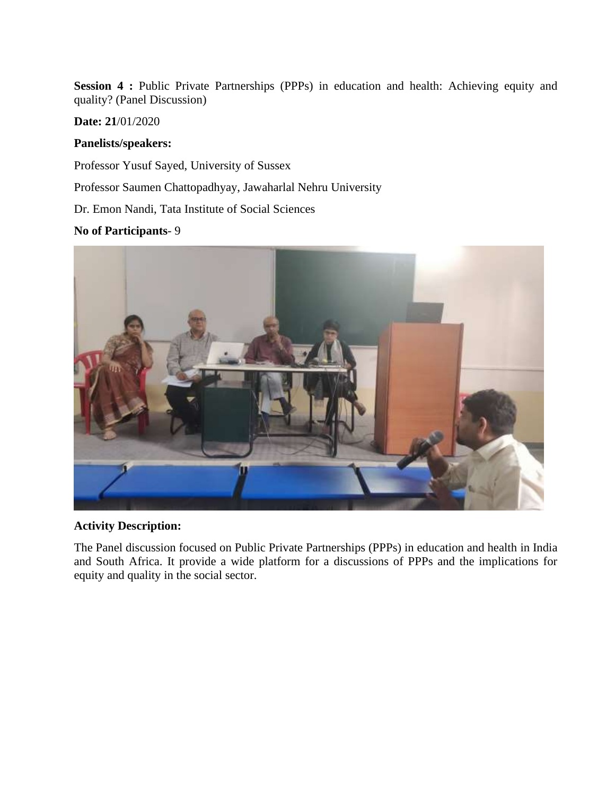Session 4 : Public Private Partnerships (PPPs) in education and health: Achieving equity and quality? (Panel Discussion)

### **Date: 21**/01/2020

### **Panelists/speakers:**

Professor Yusuf Sayed, University of Sussex

Professor Saumen Chattopadhyay, Jawaharlal Nehru University

Dr. Emon Nandi, Tata Institute of Social Sciences

### **No of Participants**- 9



### **Activity Description:**

The Panel discussion focused on Public Private Partnerships (PPPs) in education and health in India and South Africa. It provide a wide platform for a discussions of PPPs and the implications for equity and quality in the social sector.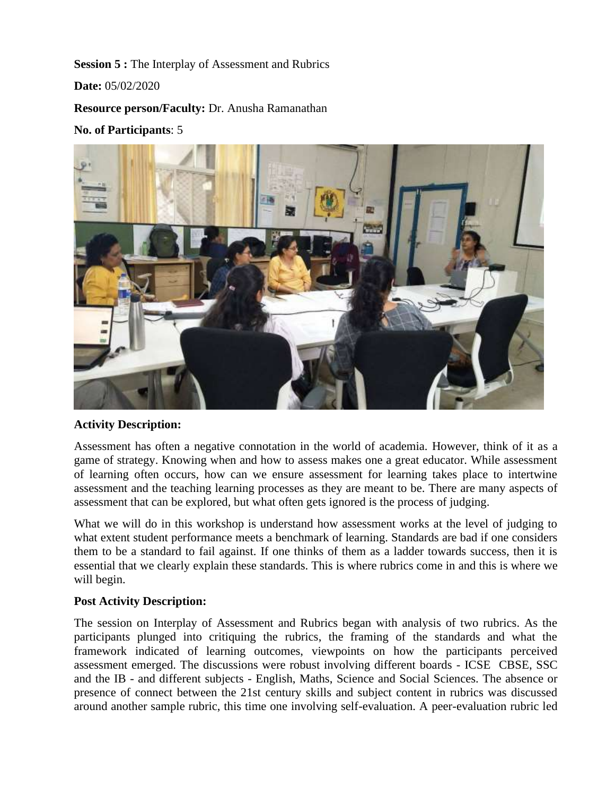**Session 5 :** The Interplay of Assessment and Rubrics

**Date:** 05/02/2020

**Resource person/Faculty:** Dr. Anusha Ramanathan

#### **No. of Participants**: 5



#### **Activity Description:**

Assessment has often a negative connotation in the world of academia. However, think of it as a game of strategy. Knowing when and how to assess makes one a great educator. While assessment of learning often occurs, how can we ensure assessment for learning takes place to intertwine assessment and the teaching learning processes as they are meant to be. There are many aspects of assessment that can be explored, but what often gets ignored is the process of judging.

What we will do in this workshop is understand how assessment works at the level of judging to what extent student performance meets a benchmark of learning. Standards are bad if one considers them to be a standard to fail against. If one thinks of them as a ladder towards success, then it is essential that we clearly explain these standards. This is where rubrics come in and this is where we will begin.

#### **Post Activity Description:**

The session on Interplay of Assessment and Rubrics began with analysis of two rubrics. As the participants plunged into critiquing the rubrics, the framing of the standards and what the framework indicated of learning outcomes, viewpoints on how the participants perceived assessment emerged. The discussions were robust involving different boards - ICSE CBSE, SSC and the IB - and different subjects - English, Maths, Science and Social Sciences. The absence or presence of connect between the 21st century skills and subject content in rubrics was discussed around another sample rubric, this time one involving self-evaluation. A peer-evaluation rubric led